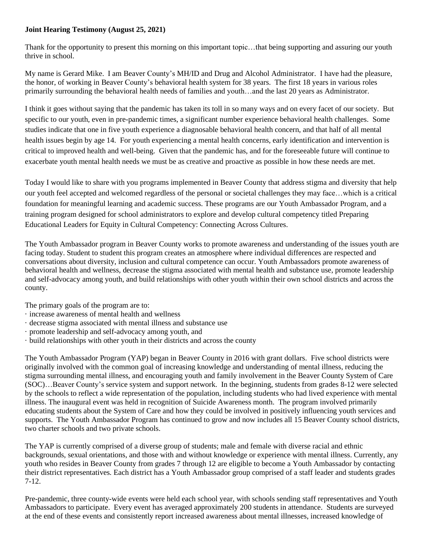## **Joint Hearing Testimony (August 25, 2021)**

Thank for the opportunity to present this morning on this important topic…that being supporting and assuring our youth thrive in school.

My name is Gerard Mike. I am Beaver County's MH/ID and Drug and Alcohol Administrator. I have had the pleasure, the honor, of working in Beaver County's behavioral health system for 38 years. The first 18 years in various roles primarily surrounding the behavioral health needs of families and youth…and the last 20 years as Administrator.

I think it goes without saying that the pandemic has taken its toll in so many ways and on every facet of our society. But specific to our youth, even in pre-pandemic times, a significant number experience behavioral health challenges. Some studies indicate that one in five youth experience a diagnosable behavioral health concern, and that half of all mental health issues begin by age 14. For youth experiencing a mental health concerns, early identification and intervention is critical to improved health and well-being. Given that the pandemic has, and for the foreseeable future will continue to exacerbate youth mental health needs we must be as creative and proactive as possible in how these needs are met.

Today I would like to share with you programs implemented in Beaver County that address stigma and diversity that help our youth feel accepted and welcomed regardless of the personal or societal challenges they may face…which is a critical foundation for meaningful learning and academic success. These programs are our Youth Ambassador Program, and a training program designed for school administrators to explore and develop cultural competency titled Preparing Educational Leaders for Equity in Cultural Competency: Connecting Across Cultures.

The Youth Ambassador program in Beaver County works to promote awareness and understanding of the issues youth are facing today. Student to student this program creates an atmosphere where individual differences are respected and conversations about diversity, inclusion and cultural competence can occur. Youth Ambassadors promote awareness of behavioral health and wellness, decrease the stigma associated with mental health and substance use, promote leadership and self-advocacy among youth, and build relationships with other youth within their own school districts and across the county.

The primary goals of the program are to:

- · increase awareness of mental health and wellness
- · decrease stigma associated with mental illness and substance use
- · promote leadership and self-advocacy among youth, and
- · build relationships with other youth in their districts and across the county

The Youth Ambassador Program (YAP) began in Beaver County in 2016 with grant dollars. Five school districts were originally involved with the common goal of increasing knowledge and understanding of mental illness, reducing the stigma surrounding mental illness, and encouraging youth and family involvement in the Beaver County System of Care (SOC)…Beaver County's service system and support network. In the beginning, students from grades 8-12 were selected by the schools to reflect a wide representation of the population, including students who had lived experience with mental illness. The inaugural event was held in recognition of Suicide Awareness month. The program involved primarily educating students about the System of Care and how they could be involved in positively influencing youth services and supports. The Youth Ambassador Program has continued to grow and now includes all 15 Beaver County school districts, two charter schools and two private schools.

The YAP is currently comprised of a diverse group of students; male and female with diverse racial and ethnic backgrounds, sexual orientations, and those with and without knowledge or experience with mental illness. Currently, any youth who resides in Beaver County from grades 7 through 12 are eligible to become a Youth Ambassador by contacting their district representatives. Each district has a Youth Ambassador group comprised of a staff leader and students grades 7-12.

Pre-pandemic, three county-wide events were held each school year, with schools sending staff representatives and Youth Ambassadors to participate. Every event has averaged approximately 200 students in attendance. Students are surveyed at the end of these events and consistently report increased awareness about mental illnesses, increased knowledge of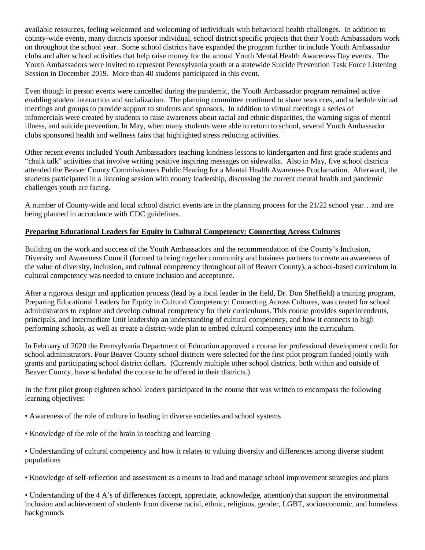available resources, feeling welcomed and welcoming of individuals with behavioral health challenges. In addition to county-wide events, many districts sponsor individual, school district specific projects that their Youth Ambassadors work on throughout the school year. Some school districts have expanded the program further to include Youth Ambassador clubs and after school activities that help raise money for the annual Youth Mental Health Awareness Day events. The Youth Ambassadors were invited to represent Pennsylvania youth at a statewide Suicide Prevention Task Force Listening Session in December 2019. More than 40 students participated in this event.

Even though in person events were cancelled during the pandemic, the Youth Ambassador program remained active enabling student interaction and socialization. The planning committee continued to share resources, and schedule virtual meetings and groups to provide support to students and sponsors. In addition to virtual meetings a series of infomercials were created by students to raise awareness about racial and ethnic disparities, the warning signs of mental illness, and suicide prevention. In May, when many students were able to return to school, several Youth Ambassador clubs sponsored health and wellness fairs that highlighted stress reducing activities.

Other recent events included Youth Ambassadors teaching kindness lessons to kindergarten and first grade students and "chalk talk" activities that involve writing positive inspiring messages on sidewalks. Also in May, five school districts attended the Beaver County Commissioners Public Hearing for a Mental Health Awareness Proclamation. Afterward, the students participated in a listening session with county leadership, discussing the current mental health and pandemic challenges youth are facing.

A number of County-wide and local school district events are in the planning process for the 21/22 school year…and are being planned in accordance with CDC guidelines.

## **Preparing Educational Leaders for Equity in Cultural Competency: Connecting Across Cultures**

Building on the work and success of the Youth Ambassadors and the recommendation of the County's Inclusion, Diversity and Awareness Council (formed to bring together community and business partners to create an awareness of the value of diversity, inclusion, and cultural competency throughout all of Beaver County), a school-based curriculum in cultural competency was needed to ensure inclusion and acceptance.

After a rigorous design and application process (lead by a local leader in the field, Dr. Don Sheffield) a training program, Preparing Educational Leaders for Equity in Cultural Competency: Connecting Across Cultures, was created for school administrators to explore and develop cultural competency for their curriculums. This course provides superintendents, principals, and Intermediate Unit leadership an understanding of cultural competency, and how it connects to high performing schools, as well as create a district-wide plan to embed cultural competency into the curriculum.

In February of 2020 the Pennsylvania Department of Education approved a course for professional development credit for school administrators. Four Beaver County school districts were selected for the first pilot program funded jointly with grants and participating school district dollars. (Currently multiple other school districts, both within and outside of Beaver County, have scheduled the course to be offered in their districts.)

In the first pilot group eighteen school leaders participated in the course that was written to encompass the following learning objectives:

- Awareness of the role of culture in leading in diverse societies and school systems
- Knowledge of the role of the brain in teaching and learning
- Understanding of cultural competency and how it relates to valuing diversity and differences among diverse student populations
- Knowledge of self-reflection and assessment as a means to lead and manage school improvement strategies and plans

• Understanding of the 4 A's of differences (accept, appreciate, acknowledge, attention) that support the environmental inclusion and achievement of students from diverse racial, ethnic, religious, gender, LGBT, socioeconomic, and homeless backgrounds